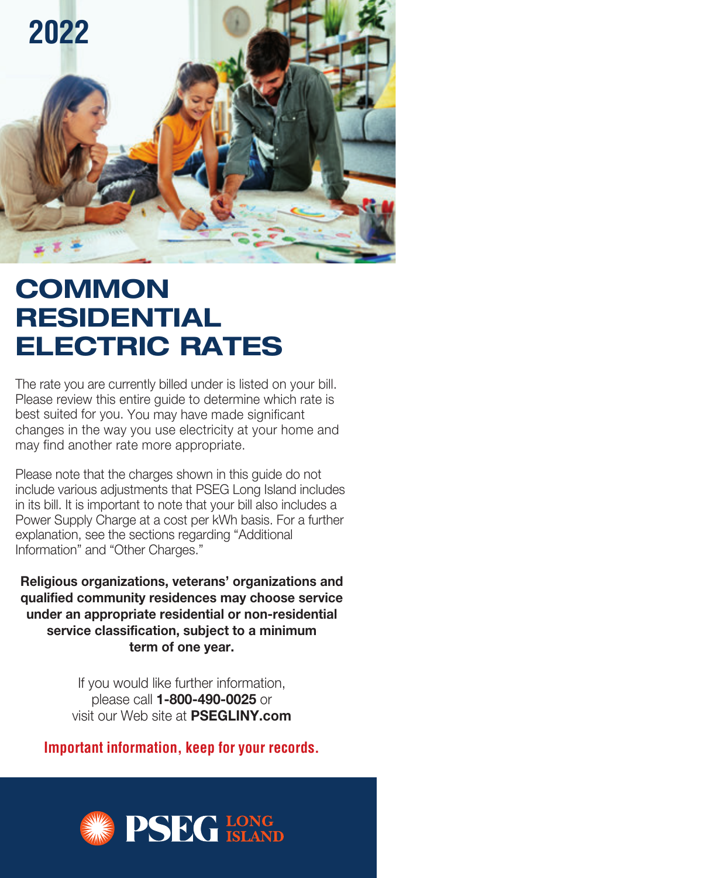

# **COMMON RESIDENTIAL ELECTRIC RATES**

The rate you are currently billed under is listed on your bill. Please review this entire guide to determine which rate is best suited for you. You may have made significant changes in the way you use electricity at your home and may find another rate more appropriate.

Please note that the charges shown in this guide do not include various adjustments that PSEG Long Island includes in its bill. It is important to note that your bill also includes a Power Supply Charge at a cost per kWh basis. For a further explanation, see the sections regarding "Additional Information" and "Other Charges."

**Religious organizations, veterans' organizations and qualified community residences may choose service under an appropriate resi dential or non-residential service classification, subject to a minimum term of one year.** 

> If you would like further information, please call **1-800-490-0025** or visit our Web site at **PSEGLINY.com**

**Important information, keep for your records.**

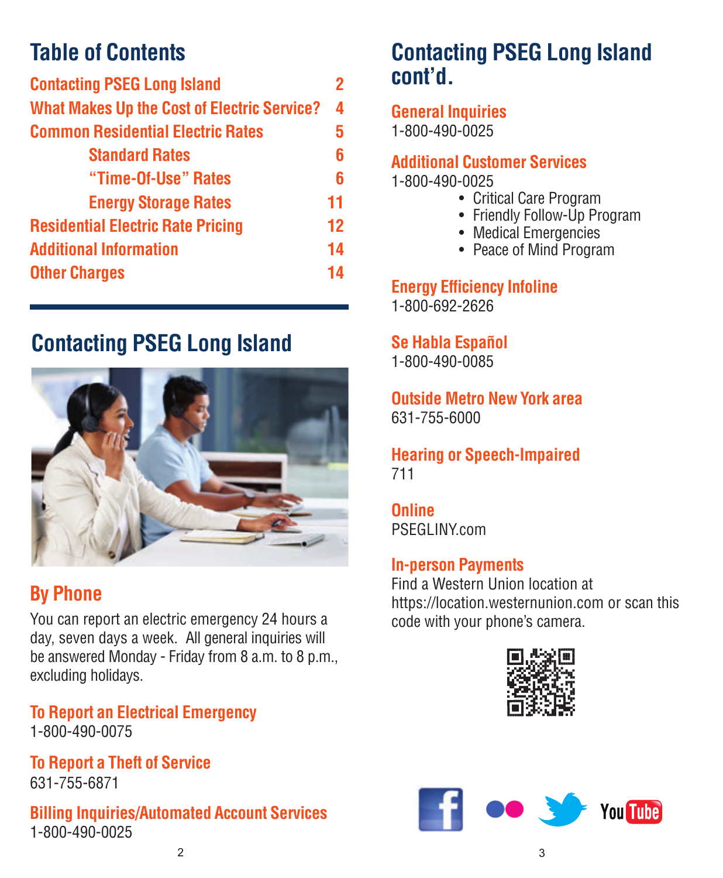| <b>Contacting PSEG Long Island</b>                 | 2  |
|----------------------------------------------------|----|
| <b>What Makes Up the Cost of Electric Service?</b> | 4  |
| <b>Common Residential Electric Rates</b>           | 5  |
| <b>Standard Rates</b>                              | 6  |
| "Time-Of-Use" Rates                                | 6  |
| <b>Energy Storage Rates</b>                        | 11 |
| <b>Residential Electric Rate Pricing</b>           | 12 |
| <b>Additional Information</b>                      | 14 |
| <b>Other Charges</b>                               | 14 |

## **Contacting PSEG Long Island**



### **By Phone**

You can report an electric emergency 24 hours a day, seven days a week. All general inquiries will be answered Monday - Friday from 8 a.m. to 8 p.m., excluding holidays.

**To Report an Electrical Emergency** 1-800-490-0075

**To Report a Theft of Service** 631-755-6871

**Billing Inquiries/Automated Account Services** 1-800-490-0025

## **Table of Contents Contacting PSEG Long Island cont'd.**

**General Inquiries** 1-800-490-0025

### **Additional Customer Services**

1-800-490-0025

- Critical Care Program
- Friendly Follow-Up Program
- Medical Emergencies
- Peace of Mind Program

**Energy Efficiency Infoline** 1-800-692-2626

**Se Habla Español**

1-800-490-0085

**Outside Metro New York area** 631-755-6000

**Hearing or Speech-Impaired** 711

**Online**  PSEGLINY.com

### **In-person Payments**

Find a Western Union location at https://location.westernunion.com or scan this code with your phone's camera.



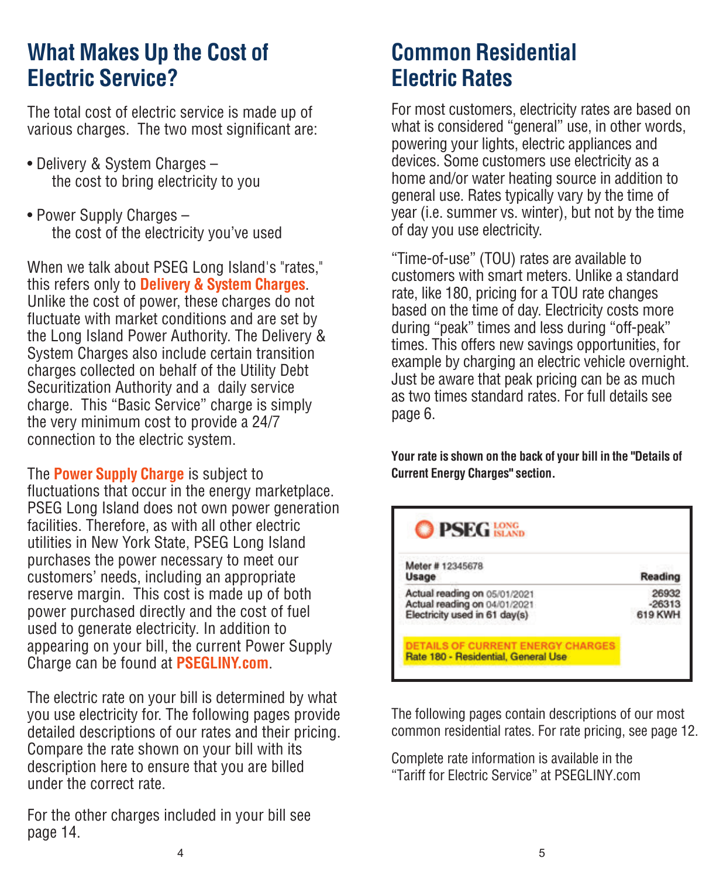## **What Makes Up the Cost of Electric Service?**

The total cost of electric service is made up of various charges. The two most significant are:

- Delivery & System Charges the cost to bring electricity to you
- Power Supply Charges the cost of the electricity you've used

When we talk about PSEG Long Island's "rates," this refers only to **Delivery & System Charges**. Unlike the cost of power, these charges do not fluctuate with market conditions and are set by the Long Island Power Authority. The Delivery & System Charges also include certain transition charges collected on behalf of the Utility Debt Securitization Authority and a daily service charge. This "Basic Service" charge is simply the very minimum cost to provide a 24/7 connection to the electric system.

The **Power Supply Charge** is subject to fluctuations that occur in the energy marketplace. PSEG Long Island does not own power generation facilities. Therefore, as with all other electric utilities in New York State, PSEG Long Island purchases the power necessary to meet our customers' needs, including an appropriate reserve margin. This cost is made up of both power purchased directly and the cost of fuel used to generate electricity. In addition to appearing on your bill, the current Power Supply Charge can be found at **PSEGLINY.com**.

The electric rate on your bill is determined by what you use electricity for. The following pages provide detailed descriptions of our rates and their pricing. Compare the rate shown on your bill with its description here to ensure that you are billed under the correct rate.

For the other charges included in your bill see page 14.

## **Common Residential Electric Rates**

For most customers, electricity rates are based on what is considered "general" use, in other words, powering your lights, electric appliances and devices. Some customers use electricity as a home and/or water heating source in addition to general use. Rates typically vary by the time of year (i.e. summer vs. winter), but not by the time of day you use electricity.

"Time-of-use" (TOU) rates are available to customers with smart meters. Unlike a standard rate, like 180, pricing for a TOU rate changes based on the time of day. Electricity costs more during "peak" times and less during "off-peak" times. This offers new savings opportunities, for example by charging an electric vehicle overnight. Just be aware that peak pricing can be as much as two times standard rates. For full details see page 6.

**Your rate is shown on the back of your bill in the "Details of Current Energy Charges" section.**

| Meter #12345678               |          |
|-------------------------------|----------|
| Usage                         | Reading  |
| Actual reading on 05/01/2021  | 26932    |
| Actual reading on 04/01/2021  | $-26313$ |
| Electricity used in 61 day(s) | 619 KWH  |

The following pages contain descriptions of our most common residential rates. For rate pricing, see page 12.

Complete rate information is available in the "Tariff for Electric Service" at PSEGLINY .com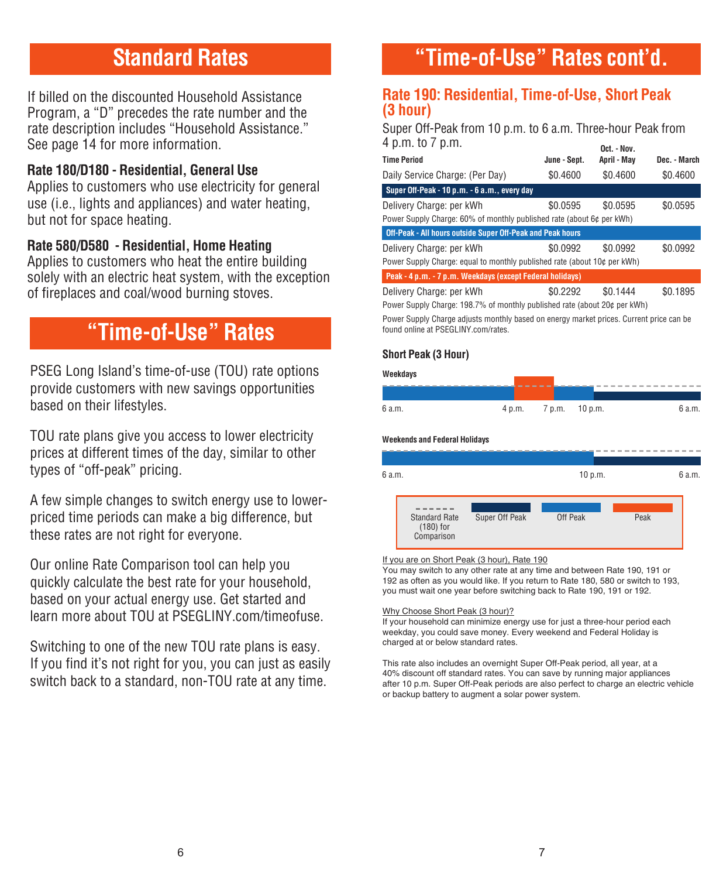## **Standard Rates**

If billed on the discounted Household Assistance Program, a "D" precedes the rate number and the rate description includes "Household Assistance." See page 14 for more information.

### **Rate 180/D180 - Residential, General Use**

Applies to customers who use electricity for general use (i.e., lights and appliances) and water heating, but not for space heating.

### **Rate 580/D580 - Residential, Home Heating**

Applies to customers who heat the entire building solely with an electric heat system, with the exception of fireplaces and coal/wood burning stoves.

## **"Time-of-Use" Rates**

PSEG Long Island's time-of-use (TOU) rate options provide customers with new savings opportunities based on their lifestyles.

TOU rate plans give you access to lower electricity prices at different times of the day, similar to other types of "off-peak" pricing.

A few simple changes to switch energy use to lowerpriced time periods can make a big difference, but these rates are not right for everyone.

Our online Rate Comparison tool can help you quickly calculate the best rate for your household, based on your actual energy use. Get started and learn more about TOU at PSEGLINY.com/timeofuse.

Switching to one of the new TOU rate plans is easy. If you find it's not right for you, you can just as easily switch back to a standard, non-TOU rate at any time.

## **"Time-of-Use" Rates cont'd.**

### **Rate 190: Residential, Time-of-Use, Short Peak (3 hour)**

Super Off-Peak from 10 p.m. to 6 a.m. Three-hour Peak from  $4 p.m.$  to  $7 p.m.$ 

|              | <b>ULL. - IVUV.</b>                                                                                                     |                                                                                                                                                                                                                                |
|--------------|-------------------------------------------------------------------------------------------------------------------------|--------------------------------------------------------------------------------------------------------------------------------------------------------------------------------------------------------------------------------|
| June - Sept. | April - May                                                                                                             | Dec. - March                                                                                                                                                                                                                   |
| \$0.4600     | \$0.4600                                                                                                                | \$0.4600                                                                                                                                                                                                                       |
|              |                                                                                                                         |                                                                                                                                                                                                                                |
| \$0.0595     | \$0.0595                                                                                                                | \$0.0595                                                                                                                                                                                                                       |
|              |                                                                                                                         |                                                                                                                                                                                                                                |
|              |                                                                                                                         |                                                                                                                                                                                                                                |
| \$0.0992     | \$0.0992                                                                                                                | \$0.0992                                                                                                                                                                                                                       |
|              |                                                                                                                         |                                                                                                                                                                                                                                |
|              |                                                                                                                         |                                                                                                                                                                                                                                |
| \$0.2292     | \$0.1444                                                                                                                | \$0.1895                                                                                                                                                                                                                       |
|              |                                                                                                                         |                                                                                                                                                                                                                                |
|              | Off-Peak - All hours outside Super Off-Peak and Peak hours<br>Peak - 4 p.m. - 7 p.m. Weekdays (except Federal holidays) | Power Supply Charge: 60% of monthly published rate (about 6¢ per kWh)<br>Power Supply Charge: equal to monthly published rate (about 10¢ per kWh)<br>Power Supply Charge: 198.7% of monthly published rate (about 20¢ per kWh) |

Power Supply Charge adjusts monthly based on energy market prices. Current price can be found online at PSEGLINY.com/rates.

### **Short Peak (3 Hour)**

| Weekdays |        |                |        |
|----------|--------|----------------|--------|
|          |        |                |        |
| 6 a.m.   | 4 p.m. | 7 p.m. 10 p.m. | 6 a.m. |

#### **Weekends and Federal Holidays**



#### If you are on Short Peak (3 hour), Rate 190

You may switch to any other rate at any time and between Rate 190, 191 or 192 as often as you would like. If you return to Rate 180, 580 or switch to 193, you must wait one year before switching back to Rate 190, 191 or 192.

#### Why Choose Short Peak (3 hour)?

If your household can minimize energy use for just a three-hour period each weekday, you could save money. Every weekend and Federal Holiday is charged at or below standard rates.

This rate also includes an overnight Super Off-Peak period, all year, at a 40% discount off standard rates. You can save by running major appliances after 10 p.m. Super Off-Peak periods are also perfect to charge an electric vehicle or backup battery to augment a solar power system.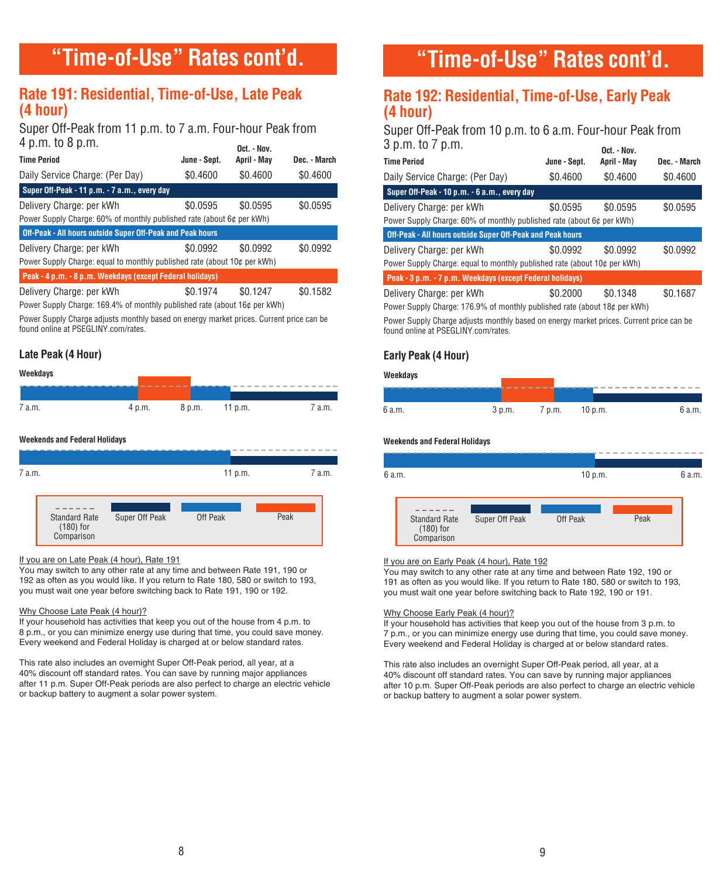## **"Time-of-Use" Rates cont'd.**

### **Rate 191: Residential, Time-of-Use, Late Peak (4 hour)**

Super Off-Peak from 11 p.m. to 7 a.m. Four-hour Peak from  $4 \text{ p.m. to } 8 \text{ p.m.}$   $\begin{array}{ccc} \text{0.4} & \text{10.4} \\ \text{2.5} & \text{2.5} \end{array}$ 

| <b>Time Period</b>                                                       | June - Sept. | April - May | Dec. - March |
|--------------------------------------------------------------------------|--------------|-------------|--------------|
| Daily Service Charge: (Per Day)                                          | \$0.4600     | \$0.4600    | \$0.4600     |
| Super Off-Peak - 11 p.m. - 7 a.m., every day                             |              |             |              |
| Delivery Charge: per kWh                                                 | \$0.0595     | \$0.0595    | \$0.0595     |
| Power Supply Charge: 60% of monthly published rate (about 6¢ per kWh)    |              |             |              |
| Off-Peak - All hours outside Super Off-Peak and Peak hours               |              |             |              |
| Delivery Charge: per kWh                                                 | \$0.0992     | \$0.0992    | \$0.0992     |
| Power Supply Charge: equal to monthly published rate (about 10¢ per kWh) |              |             |              |
| Peak - 4 p.m. - 8 p.m. Weekdays (except Federal holidays)                |              |             |              |
| Delivery Charge: per kWh                                                 | \$0.1974     | \$0.1247    | \$0.1582     |
|                                                                          |              |             |              |

Power Supply Charge: 169.4% of monthly published rate (about 16¢ per kWh)

Power Supply Charge adjusts monthly based on energy market prices. Current price can be found online at PSEGLINY.com/rates.

### **Late Peak (4 Hour)**



| <b>Truck</b> |        |        |         |        |
|--------------|--------|--------|---------|--------|
|              |        |        |         |        |
|              |        |        |         |        |
| 7 a.m.       | 4 p.m. | 8 p.m. | 11 p.m. | 7 a.m. |

#### **Weekends and Federal Holidays**



#### If you are on Late Peak (4 hour), Rate 191

You may switch to any other rate at any time and between Rate 191, 190 or 192 as often as you would like. If you return to Rate 180, 580 or switch to 193, you must wait one year before switching back to Rate 191, 190 or 192.

#### Why Choose Late Peak (4 hour)?

If your household has activities that keep you out of the house from 4 p.m. to 8 p.m., or you can minimize energy use during that time, you could save money. Every weekend and Federal Holiday is charged at or below standard rates.

This rate also includes an overnight Super Off-Peak period, all year, at a 40% discount off standard rates. You can save by running major appliances after 11 p.m. Super Off-Peak periods are also perfect to charge an electric vehicle or backup battery to augment a solar power system.

## **"Time-of-Use" Rates cont'd.**

### **Rate 192: Residential, Time-of-Use, Early Peak (4 hour)**

Super Off-Peak from 10 p.m. to 6 a.m. Four-hour Peak from 3 p.m. to 7 p.m. **Oct. - Nov.** 

| <b>Time Period</b>                                                        | June - Sept. | April - May | Dec. - March |
|---------------------------------------------------------------------------|--------------|-------------|--------------|
| Daily Service Charge: (Per Day)                                           | \$0.4600     | \$0.4600    | \$0.4600     |
| Super Off-Peak - 10 p.m. - 6 a.m., every day                              |              |             |              |
| Delivery Charge: per kWh                                                  | \$0.0595     | \$0.0595    | \$0.0595     |
| Power Supply Charge: 60% of monthly published rate (about 6¢ per kWh)     |              |             |              |
| Off-Peak - All hours outside Super Off-Peak and Peak hours                |              |             |              |
| Delivery Charge: per kWh                                                  | \$0.0992     | \$0.0992    | \$0.0992     |
| Power Supply Charge: equal to monthly published rate (about 10¢ per kWh)  |              |             |              |
| Peak - 3 p.m. - 7 p.m. Weekdays (except Federal holidays)                 |              |             |              |
| Delivery Charge: per kWh                                                  | \$0.2000     | \$0.1348    | \$0.1687     |
| Power Supply Charge: 176.9% of monthly published rate (about 18¢ per kWh) |              |             |              |

Power Supply Charge adjusts monthly based on energy market prices. Current price can be found online at PSEGLINY.com/rates.

#### **Early Peak (4 Hour)**

| Weekdays |        |        |         |        |
|----------|--------|--------|---------|--------|
|          |        |        |         |        |
| 6 a.m.   | 3 p.m. | 7 p.m. | 10 p.m. | 6 a.m. |

#### **Weekends and Federal Holidays**



#### If you are on Early Peak (4 hour), Rate 192

You may switch to any other rate at any time and between Rate 192, 190 or 191 as often as you would like. If you return to Rate 180, 580 or switch to 193, you must wait one year before switching back to Rate 192, 190 or 191.

#### Why Choose Early Peak (4 hour)?

If your household has activities that keep you out of the house from 3 p.m. to 7 p.m., or you can minimize energy use during that time, you could save money. Every weekend and Federal Holiday is charged at or below standard rates.

This rate also includes an overnight Super Off-Peak period, all year, at a 40% discount off standard rates. You can save by running major appliances after 10 p.m. Super Off-Peak periods are also perfect to charge an electric vehicle or backup battery to augment a solar power system.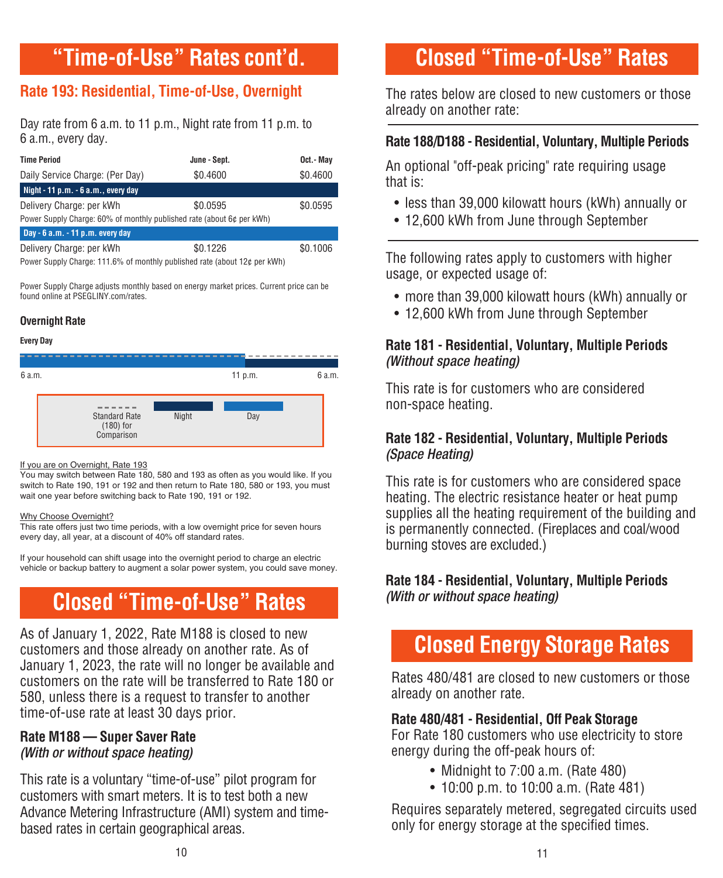## **"Time-of-Use" Rates cont'd.**

### **Rate 193: Residential, Time-of-Use, Overnight**

Day rate from 6 a.m. to 11 p.m., Night rate from 11 p.m. to 6 a.m., every day.

| <b>Time Period</b>                                                    | June - Sept. | Oct.- May |
|-----------------------------------------------------------------------|--------------|-----------|
| Daily Service Charge: (Per Day)                                       | \$0.4600     | \$0.4600  |
| Night - 11 p.m. - 6 a.m., every day                                   |              |           |
| Delivery Charge: per kWh                                              | \$0.0595     | \$0.0595  |
| Power Supply Charge: 60% of monthly published rate (about 6¢ per kWh) |              |           |
| Day - $6$ a.m. - 11 p.m. every day                                    |              |           |
| Delivery Charge: per kWh                                              | \$0.1226     | \$0.1006  |

Power Supply Charge: 111.6% of monthly published rate (about 12¢ per kWh)

Power Supply Charge adjusts monthly based on energy market prices. Current price can be found online at PSEGLINY.com/rates.

### **Overnight Rate**

#### **Every Day**



#### If you are on Overnight, Rate 193

You may switch between Rate 180, 580 and 193 as often as you would like. If you switch to Rate 190, 191 or 192 and then return to Rate 180, 580 or 193, you must wait one year before switching back to Rate 190, 191 or 192.

#### Why Choose Overnight?

This rate offers just two time periods, with a low overnight price for seven hours every day, all year, at a discount of 40% off standard rates.

If your household can shift usage into the overnight period to charge an electric vehicle or backup battery to augment a solar power system, you could save money.

## **Closed "Time-of-Use" Rates**

As of January 1, 2022, Rate M188 is closed to new customers and those already on another rate. As of January 1, 2023, the rate will no longer be available and customers on the rate will be transferred to Rate 180 or 580, unless there is a request to transfer to another time-of-use rate at least 30 days prior.

### **Rate M188 – Super Saver Rate**  (With or without space heating)

This rate is a voluntary "time-of-use" pilot program for customers with smart meters. It is to test both a new Advance Metering Infrastructure (AMI) system and timebased rates in certain geographical areas.

## **Closed "Time-of-Use" Rates**

The rates below are closed to new customers or those already on another rate:

### **Rate 188/D188 - Residential, Voluntary, Multiple Periods**

An optional "off-peak pricing" rate requiring usage that is:

- less than 39,000 kilowatt hours (kWh) annually or
- 12,600 kWh from June through September

The following rates apply to customers with higher usage, or expected usage of:

- more than 39,000 kilowatt hours (kWh) annually or
- 12,600 kWh from June through September

### **Rate 181 - Residential, Voluntary, Multiple Periods** (Without space heating)

This rate is for customers who are considered non-space heating.

### **Rate 182 - Residential, Voluntary, Multiple Periods**  (Space Heating)

This rate is for customers who are considered space heating. The electric resistance heater or heat pump supplies all the heating requirement of the building and is permanently connected. (Fireplaces and coal/wood burning stoves are excluded.)

### **Rate 184 - Residential, Voluntary, Multiple Periods** (With or without space heating)

## **Closed Energy Storage Rates**

Rates 480/481 are closed to new customers or those already on another rate.

### **Rate 480/481 - Residential, Off Peak Storage**

For Rate 180 customers who use electricity to store energy during the off-peak hours of:

- Midnight to 7:00 a.m. (Rate 480)
- 10:00 p.m. to 10:00 a.m. (Rate 481)

Requires separately metered, segregated circuits used only for energy storage at the specified times.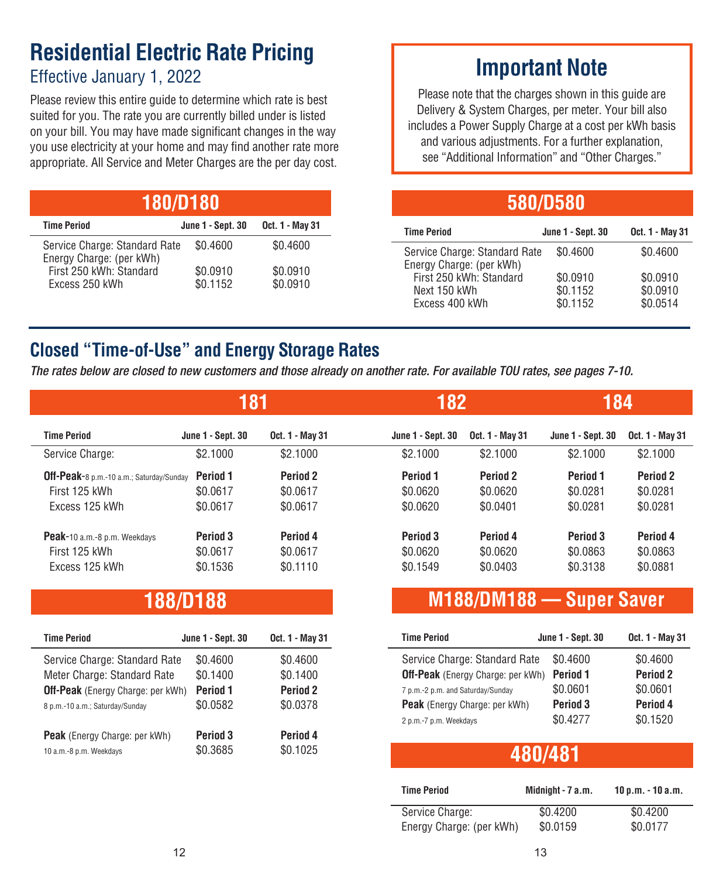### **Residential Electric Rate Pricing**  Effective January 1, 2022

Please review this entire guide to determine which rate is best suited for you. The rate you are currently billed under is listed on your bill. You may have made significant changes in the way you use electricity at your home and may find another rate more appropriate. All Service and Meter Charges are the per day cost.

| <b>180/D180</b>                                           |                          |                      |  |  |
|-----------------------------------------------------------|--------------------------|----------------------|--|--|
| <b>Time Period</b>                                        | <b>June 1 - Sept. 30</b> | Oct. 1 - May 31      |  |  |
| Service Charge: Standard Rate<br>Energy Charge: (per kWh) | \$0.4600                 | \$0.4600             |  |  |
| First 250 kWh: Standard<br>Excess 250 kWh                 | \$0.0910<br>\$0.1152     | \$0.0910<br>\$0.0910 |  |  |

## **Important Note**

Please note that the charges shown in this guide are Delivery & System Charges, per meter. Your bill also includes a Power Supply Charge at a cost per kWh basis and various adjustments. For a further explanation, see "Additional Information" and "Other Charges."

| 580/D580                                                  |                          |                 |  |  |
|-----------------------------------------------------------|--------------------------|-----------------|--|--|
| <b>Time Period</b>                                        | <b>June 1 - Sept. 30</b> | Oct. 1 - May 31 |  |  |
| Service Charge: Standard Rate<br>Energy Charge: (per kWh) | \$0.4600                 | \$0.4600        |  |  |
| First 250 kWh: Standard                                   | \$0.0910                 | \$0.0910        |  |  |
| Next 150 kWh                                              | \$0.1152                 | \$0.0910        |  |  |
| Excess 400 kWh                                            | \$0.1152                 | \$0.0514        |  |  |

### **Closed "Time-of-Use" and Energy Storage Rates**

The rates below are closed to new customers and those already on another rate. For available TOU rates, see pages 7-10.

|                                                                             | 181                              |                                  | 182                              |                                  | 184                                         |                                             |
|-----------------------------------------------------------------------------|----------------------------------|----------------------------------|----------------------------------|----------------------------------|---------------------------------------------|---------------------------------------------|
| <b>Time Period</b>                                                          | <b>June 1 - Sept. 30</b>         | Oct. 1 - May 31                  | <b>June 1 - Sept. 30</b>         | Oct. 1 - May 31                  | <b>June 1 - Sept. 30</b>                    | Oct. 1 - May 31                             |
| Service Charge:                                                             | \$2.1000                         | \$2.1000                         | \$2.1000                         | \$2.1000                         | \$2.1000                                    | \$2.1000                                    |
| Off-Peak-8 p.m.-10 a.m.; Saturday/Sunday<br>First 125 kWh<br>Excess 125 kWh | Period 1<br>\$0.0617<br>\$0.0617 | Period 2<br>\$0.0617<br>\$0.0617 | Period 1<br>\$0.0620<br>\$0.0620 | Period 2<br>\$0.0620<br>\$0.0401 | Period 1<br>\$0.0281<br>\$0.0281            | Period <sub>2</sub><br>\$0.0281<br>\$0.0281 |
| Peak-10 a.m.-8 p.m. Weekdays<br>First 125 kWh<br>Excess 125 kWh             | Period 3<br>\$0.0617<br>\$0.1536 | Period 4<br>\$0.0617<br>\$0.1110 | Period 3<br>\$0.0620<br>\$0.1549 | Period 4<br>\$0.0620<br>\$0.0403 | Period <sub>3</sub><br>\$0.0863<br>\$0.3138 | Period 4<br>\$0.0863<br>\$0.0881            |

### **188/D188**

| <b>Time Period</b>                       | <b>June 1 - Sept. 30</b> | Oct. 1 - May 31     |
|------------------------------------------|--------------------------|---------------------|
| Service Charge: Standard Rate            | \$0.4600                 | \$0.4600            |
| Meter Charge: Standard Rate              | \$0.1400                 | \$0.1400            |
| <b>Off-Peak</b> (Energy Charge: per kWh) | Period <sub>1</sub>      | Period <sub>2</sub> |
| 8 p.m.-10 a.m.; Saturday/Sunday          | \$0.0582                 | \$0.0378            |
| <b>Peak</b> (Energy Charge: per kWh)     | Period 3                 | Period 4            |
| 10 a.m.-8 p.m. Weekdays                  | \$0.3685                 | \$0.1025            |

### **M188/DM188 – Super Saver**

| <b>Time Period</b>                       | <b>June 1 - Sept. 30</b> | Oct. 1 - May 31     |
|------------------------------------------|--------------------------|---------------------|
| Service Charge: Standard Rate            | \$0.4600                 | \$0.4600            |
| <b>Off-Peak</b> (Energy Charge: per kWh) | Period 1                 | Period <sub>2</sub> |
| 7 p.m.-2 p.m. and Saturday/Sunday        | \$0.0601                 | \$0.0601            |
| <b>Peak</b> (Energy Charge: per kWh)     | Period 3                 | Period 4            |
| 2 p.m.-7 p.m. Weekdays                   | \$0.4277                 | \$0.1520            |

### 10 a.m.-8 p.m. Weekdays \$0.3685 \$0.1025 **480/481**

| <b>Time Period</b>       | Midnight - 7 a.m. | $10 p.m. - 10 a.m.$ |
|--------------------------|-------------------|---------------------|
| Service Charge:          | \$0.4200          | \$0.4200            |
| Energy Charge: (per kWh) | \$0.0159          | \$0.0177            |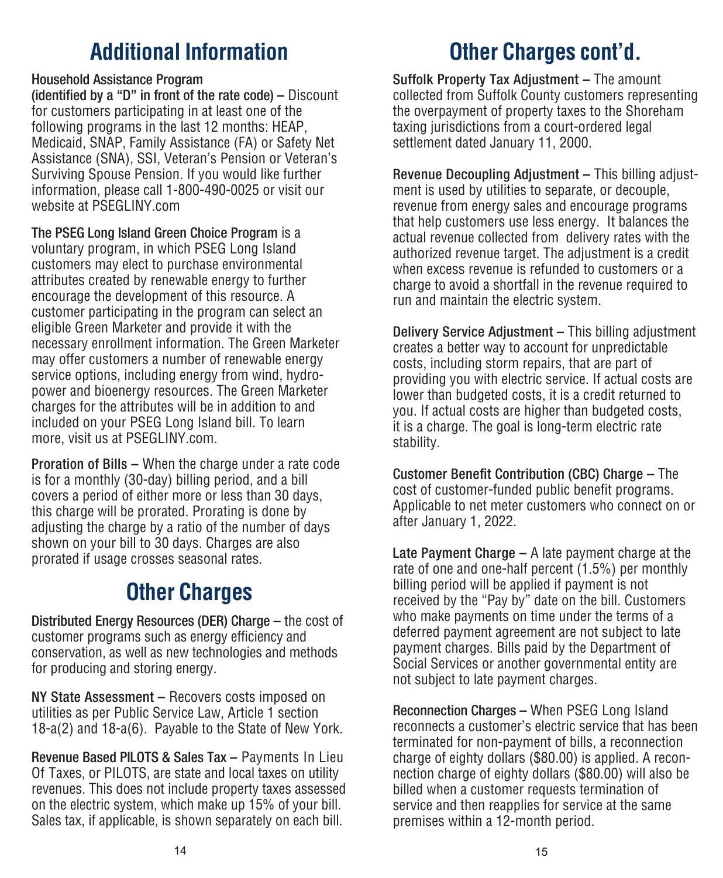## **Additional Information**

### Household Assistance Program

(identified by a "D" in front of the rate code) – Discount for customers participating in at least one of the following programs in the last 12 months: HEAP. Medicaid, SNAP, Family Assistance (FA) or Safety Net Assistance (SNA), SSI, Veteran's Pension or Veteran's Surviving Spouse Pension. If you would like further information, please call 1-800-490-0025 or visit our website at PSEGLINY.com

The PSEG Long Island Green Choice Program is a voluntary program, in which PSEG Long Island customers may elect to purchase environmental attributes created by renewable energy to further encourage the development of this resource. A customer participating in the program can select an eligible Green Marketer and provide it with the necessary enrollment information. The Green Marketer may offer customers a number of renewable energy service options, including energy from wind, hydropower and bioenergy resources. The Green Marketer charges for the attributes will be in addition to and included on your PSEG Long Island bill. To learn more, visit us at PSEGLINY.com.

Proration of Bills – When the charge under a rate code is for a monthly (30-day) billing period, and a bill covers a period of either more or less than 30 days, this charge will be prorated. Prorating is done by adjusting the charge by a ratio of the number of days shown on your bill to 30 days. Charges are also prorated if usage crosses seasonal rates.

# **Other Charges**

Distributed Energy Resources (DER) Charge – the cost of customer programs such as energy efficiency and conservation, as well as new technologies and methods for producing and storing energy.

NY State Assessment – Recovers costs imposed on utilities as per Public Service Law, Article 1 section 18-a(2) and 18-a(6). Payable to the State of New York.

Revenue Based PILOTS & Sales Tax – Payments In Lieu Of Taxes, or PILOTS, are state and local taxes on utility revenues. This does not include property taxes assessed on the electric system, which make up 15% of your bill. Sales tax, if applicable, is shown separately on each bill.

Suffolk Property Tax Adjustment – The amount collected from Suffolk County customers representing the overpayment of property taxes to the Shoreham taxing jurisdictions from a court-ordered legal settlement dated January 11, 2000.

Revenue Decoupling Adjustment – This billing adjustment is used by utilities to separate, or decouple, revenue from energy sales and encourage programs that help customers use less energy. It balances the actual revenue collected from delivery rates with the authorized revenue target. The adjustment is a credit when excess revenue is refunded to customers or a charge to avoid a shortfall in the revenue required to run and maintain the electric system.

Delivery Service Adjustment – This billing adjustment creates a better way to account for unpredictable costs, including storm repairs, that are part of providing you with electric service. If actual costs are lower than budgeted costs, it is a credit returned to you. If actual costs are higher than budgeted costs, it is a charge. The goal is long-term electric rate stability.

Customer Benefit Contribution (CBC) Charge – The cost of customer-funded public benefit programs. Applicable to net meter customers who connect on or after January 1, 2022.

Late Payment Charge – A late payment charge at the rate of one and one-half percent (1.5%) per monthly billing period will be applied if payment is not received by the "Pay by" date on the bill. Customers who make payments on time under the terms of a deferred payment agreement are not subject to late payment charges. Bills paid by the Department of Social Services or another governmental entity are not subject to late payment charges.

Reconnection Charges – When PSEG Long Island reconnects a customer's electric service that has been terminated for non-payment of bills, a reconnection charge of eighty dollars (\$80.00) is applied. A reconnection charge of eighty dollars (\$80.00) will also be billed when a customer requests termination of service and then reapplies for service at the same premises within a 12-month period.